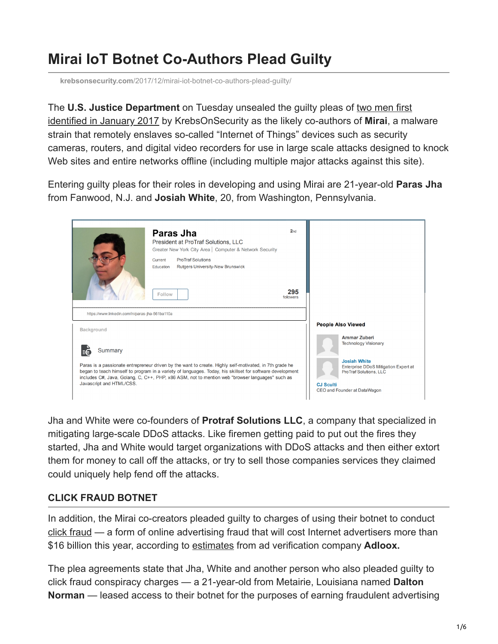## **Mirai IoT Botnet Co-Authors Plead Guilty**

**krebsonsecurity.com**[/2017/12/mirai-iot-botnet-co-authors-plead-guilty/](https://krebsonsecurity.com/2017/12/mirai-iot-botnet-co-authors-plead-guilty/)

The **U.S. Justice Department** on Tuesday unsealed the guilty pleas of two men first [identified in January 2017 by KrebsOnSecurity as the likely co-authors of](https://krebsonsecurity.com/2017/01/who-is-anna-senpai-the-mirai-worm-author/) **Mirai**, a malware strain that remotely enslaves so-called "Internet of Things" devices such as security cameras, routers, and digital video recorders for use in large scale attacks designed to knock Web sites and entire networks offline (including multiple major attacks against this site).

Entering guilty pleas for their roles in developing and using Mirai are 21-year-old **Paras Jha** from Fanwood, N.J. and **Josiah White**, 20, from Washington, Pennsylvania.



Jha and White were co-founders of **Protraf Solutions LLC**, a company that specialized in mitigating large-scale DDoS attacks. Like firemen getting paid to put out the fires they started, Jha and White would target organizations with DDoS attacks and then either extort them for money to call off the attacks, or try to sell those companies services they claimed could uniquely help fend off the attacks.

## **CLICK FRAUD BOTNET**

In addition, the Mirai co-creators pleaded guilty to charges of using their botnet to conduct [click fraud](https://en.wikipedia.org/wiki/Click_fraud) — a form of online advertising fraud that will cost Internet advertisers more than \$16 billion this year, according to [estimates](https://www.cnbc.com/2017/03/15/businesses-could-lose-164-billion-to-online-advert-fraud-in-2017.html) from ad verification company **Adloox.** 

The plea agreements state that Jha, White and another person who also pleaded guilty to click fraud conspiracy charges — a 21-year-old from Metairie, Louisiana named **Dalton Norman** — leased access to their botnet for the purposes of earning fraudulent advertising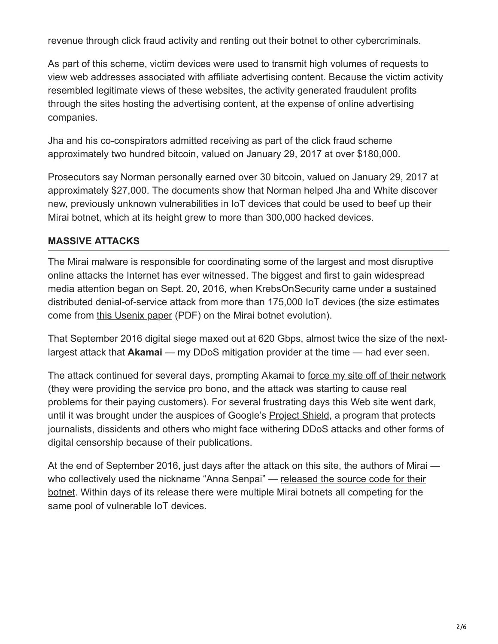revenue through click fraud activity and renting out their botnet to other cybercriminals.

As part of this scheme, victim devices were used to transmit high volumes of requests to view web addresses associated with affiliate advertising content. Because the victim activity resembled legitimate views of these websites, the activity generated fraudulent profits through the sites hosting the advertising content, at the expense of online advertising companies.

Jha and his co-conspirators admitted receiving as part of the click fraud scheme approximately two hundred bitcoin, valued on January 29, 2017 at over \$180,000.

Prosecutors say Norman personally earned over 30 bitcoin, valued on January 29, 2017 at approximately \$27,000. The documents show that Norman helped Jha and White discover new, previously unknown vulnerabilities in IoT devices that could be used to beef up their Mirai botnet, which at its height grew to more than 300,000 hacked devices.

## **MASSIVE ATTACKS**

The Mirai malware is responsible for coordinating some of the largest and most disruptive online attacks the Internet has ever witnessed. The biggest and first to gain widespread media attention [began on Sept. 20, 2016,](https://krebsonsecurity.com/2016/09/krebsonsecurity-hit-with-record-ddos/) when KrebsOnSecurity came under a sustained distributed denial-of-service attack from more than 175,000 IoT devices (the size estimates come from [this Usenix paper](https://www.usenix.org/system/files/conference/usenixsecurity17/sec17-antonakakis.pdf) (PDF) on the Mirai botnet evolution).

That September 2016 digital siege maxed out at 620 Gbps, almost twice the size of the nextlargest attack that **Akamai** — my DDoS mitigation provider at the time — had ever seen.

The attack continued for several days, prompting Akamai to [force my site off of their network](https://krebsonsecurity.com/2016/09/the-democratization-of-censorship/) (they were providing the service pro bono, and the attack was starting to cause real problems for their paying customers). For several frustrating days this Web site went dark, until it was brought under the auspices of Google's [Project Shield,](https://projectshield.withgoogle.com/public/) a program that protects journalists, dissidents and others who might face withering DDoS attacks and other forms of digital censorship because of their publications.

At the end of September 2016, just days after the attack on this site, the authors of Mirai [who collectively used the nickname "Anna Senpai" — released the source code for their](https://krebsonsecurity.com/2016/10/source-code-for-iot-botnet-mirai-released/) botnet. Within days of its release there were multiple Mirai botnets all competing for the same pool of vulnerable IoT devices.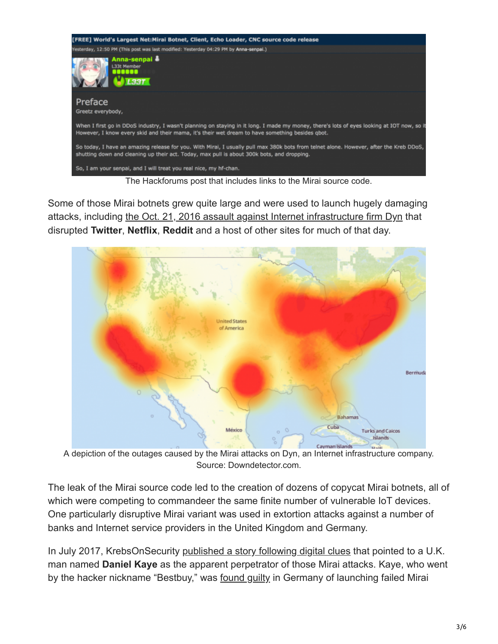

Some of those Mirai botnets grew quite large and were used to launch hugely damaging attacks, including [the Oct. 21, 2016 assault against Internet infrastructure firm Dyn](https://krebsonsecurity.com/2016/10/ddos-on-dyn-impacts-twitter-spotify-reddit/) that disrupted **Twitter**, **Netflix**, **Reddit** and a host of other sites for much of that day.



A depiction of the outages caused by the Mirai attacks on Dyn, an Internet infrastructure company. Source: Downdetector.com.

The leak of the Mirai source code led to the creation of dozens of copycat Mirai botnets, all of which were competing to commandeer the same finite number of vulnerable IoT devices. One particularly disruptive Mirai variant was used in extortion attacks against a number of banks and Internet service providers in the United Kingdom and Germany.

In July 2017, KrebsOnSecurity [published a story following digital clues](https://krebsonsecurity.com/2017/07/who-is-the-govrat-author-and-mirai-botmaster-bestbuy/) that pointed to a U.K. man named **Daniel Kaye** as the apparent perpetrator of those Mirai attacks. Kaye, who went by the hacker nickname "Bestbuy," was [found guilty](https://krebsonsecurity.com/2017/07/suspended-sentence-for-mirai-botmaster-daniel-kaye/) in Germany of launching failed Mirai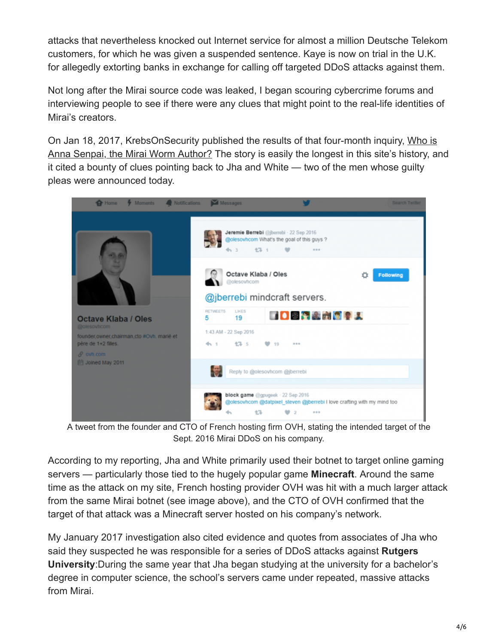attacks that nevertheless knocked out Internet service for almost a million Deutsche Telekom customers, for which he was given a suspended sentence. Kaye is now on trial in the U.K. for allegedly extorting banks in exchange for calling off targeted DDoS attacks against them.

Not long after the Mirai source code was leaked, I began scouring cybercrime forums and interviewing people to see if there were any clues that might point to the real-life identities of Mirai's creators.

On Jan 18, 2017, KrebsOnSecurity published the results of that four-month inquiry, Who is [Anna Senpai, the Mirai Worm Author? The story is easily the longest in this site's history, a](https://krebsonsecurity.com/2017/01/who-is-anna-senpai-the-mirai-worm-author/)nd it cited a bounty of clues pointing back to Jha and White — two of the men whose guilty pleas were announced today.



A tweet from the founder and CTO of French hosting firm OVH, stating the intended target of the Sept. 2016 Mirai DDoS on his company.

According to my reporting, Jha and White primarily used their botnet to target online gaming servers — particularly those tied to the hugely popular game **Minecraft**. Around the same time as the attack on my site, French hosting provider OVH was hit with a much larger attack from the same Mirai botnet (see image above), and the CTO of OVH confirmed that the target of that attack was a Minecraft server hosted on his company's network.

My January 2017 investigation also cited evidence and quotes from associates of Jha who said they suspected he was responsible for a series of DDoS attacks against **Rutgers University**:During the same year that Jha began studying at the university for a bachelor's degree in computer science, the school's servers came under repeated, massive attacks from Mirai.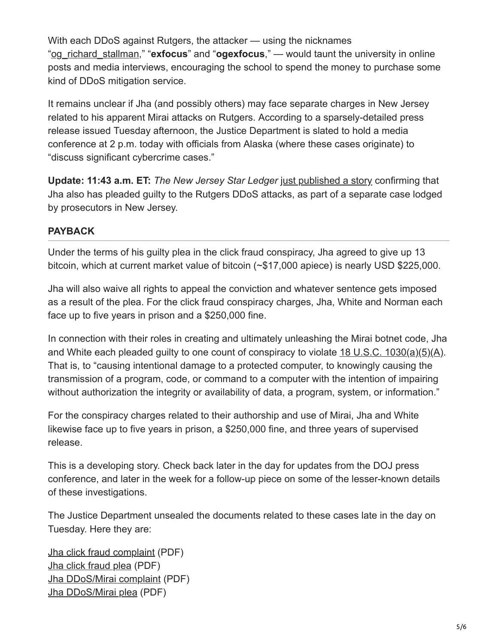With each DDoS against Rutgers, the attacker — using the nicknames "[og\\_richard\\_stallman](https://www.reddit.com/r/rutgers/comments/4qvc4g/ddos_on_rutgers/)," "**exfocus**" and "**ogexfocus**," — would taunt the university in online posts and media interviews, encouraging the school to spend the money to purchase some kind of DDoS mitigation service.

It remains unclear if Jha (and possibly others) may face separate charges in New Jersey related to his apparent Mirai attacks on Rutgers. According to a sparsely-detailed press release issued Tuesday afternoon, the Justice Department is slated to hold a media conference at 2 p.m. today with officials from Alaska (where these cases originate) to "discuss significant cybercrime cases."

**Update: 11:43 a.m. ET:** *The New Jersey Star Ledger* [just published a story](http://www.nj.com/education/2017/12/rutgers_student_charged_in_series_of_cyber_attacks.html#incart_river_mobile_home) confirming that Jha also has pleaded guilty to the Rutgers DDoS attacks, as part of a separate case lodged by prosecutors in New Jersey.

## **PAYBACK**

Under the terms of his guilty plea in the click fraud conspiracy, Jha agreed to give up 13 bitcoin, which at current market value of bitcoin (~\$17,000 apiece) is nearly USD \$225,000.

Jha will also waive all rights to appeal the conviction and whatever sentence gets imposed as a result of the plea. For the click fraud conspiracy charges, Jha, White and Norman each face up to five years in prison and a \$250,000 fine.

In connection with their roles in creating and ultimately unleashing the Mirai botnet code, Jha and White each pleaded guilty to one count of conspiracy to violate  $18 \text{ U.S.C. } 1030(a)(5)(A)$ . That is, to "causing intentional damage to a protected computer, to knowingly causing the transmission of a program, code, or command to a computer with the intention of impairing without authorization the integrity or availability of data, a program, system, or information."

For the conspiracy charges related to their authorship and use of Mirai, Jha and White likewise face up to five years in prison, a \$250,000 fine, and three years of supervised release.

This is a developing story. Check back later in the day for updates from the DOJ press conference, and later in the week for a follow-up piece on some of the lesser-known details of these investigations.

The Justice Department unsealed the documents related to these cases late in the day on Tuesday. Here they are:

[Jha click fraud complaint](https://krebsonsecurity.com/wp-content/uploads/2017/12/Jha1.pdf) (PDF) [Jha click fraud plea](https://krebsonsecurity.com/wp-content/uploads/2017/12/jhacf-plea.pdf) (PDF) [Jha DDoS/Mirai complaint](https://krebsonsecurity.com/wp-content/uploads/2017/12/Jha-DDoS.pdf) (PDF) [Jha DDoS/Mirai plea](https://krebsonsecurity.com/wp-content/uploads/2017/12/Jha-DDoS-Plea.pdf) (PDF)